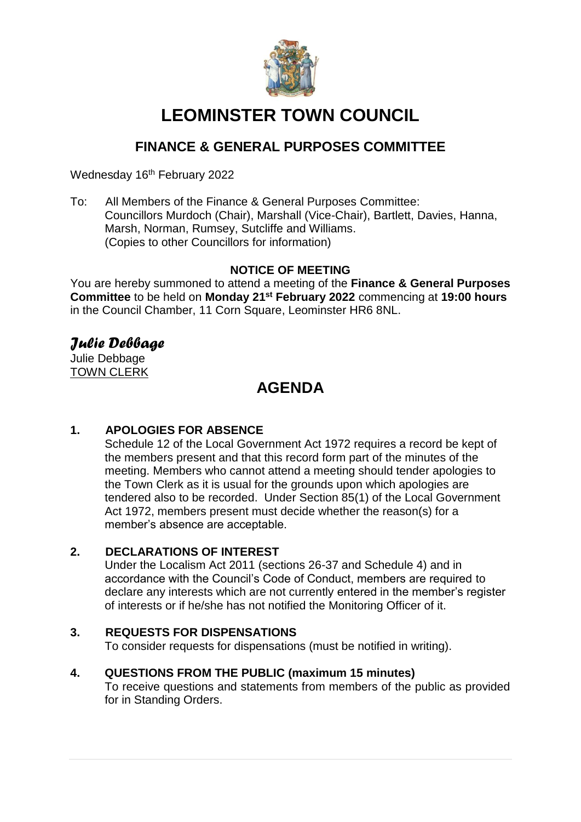

# **LEOMINSTER TOWN COUNCIL**

## **FINANCE & GENERAL PURPOSES COMMITTEE**

Wednesday 16<sup>th</sup> February 2022

To: All Members of the Finance & General Purposes Committee: Councillors Murdoch (Chair), Marshall (Vice-Chair), Bartlett, Davies, Hanna, Marsh, Norman, Rumsey, Sutcliffe and Williams. (Copies to other Councillors for information)

## **NOTICE OF MEETING**

You are hereby summoned to attend a meeting of the **Finance & General Purposes Committee** to be held on **Monday 21st February 2022** commencing at **19:00 hours** in the Council Chamber, 11 Corn Square, Leominster HR6 8NL.

## *Julie Debbage*

Julie Debbage TOWN CLERK

## **AGENDA**

## **1. APOLOGIES FOR ABSENCE**

Schedule 12 of the Local Government Act 1972 requires a record be kept of the members present and that this record form part of the minutes of the meeting. Members who cannot attend a meeting should tender apologies to the Town Clerk as it is usual for the grounds upon which apologies are tendered also to be recorded. Under Section 85(1) of the Local Government Act 1972, members present must decide whether the reason(s) for a member's absence are acceptable.

## **2. DECLARATIONS OF INTEREST**

Under the Localism Act 2011 (sections 26-37 and Schedule 4) and in accordance with the Council's Code of Conduct, members are required to declare any interests which are not currently entered in the member's register of interests or if he/she has not notified the Monitoring Officer of it.

## **3. REQUESTS FOR DISPENSATIONS**

To consider requests for dispensations (must be notified in writing).

#### **4. QUESTIONS FROM THE PUBLIC (maximum 15 minutes)**

To receive questions and statements from members of the public as provided for in Standing Orders.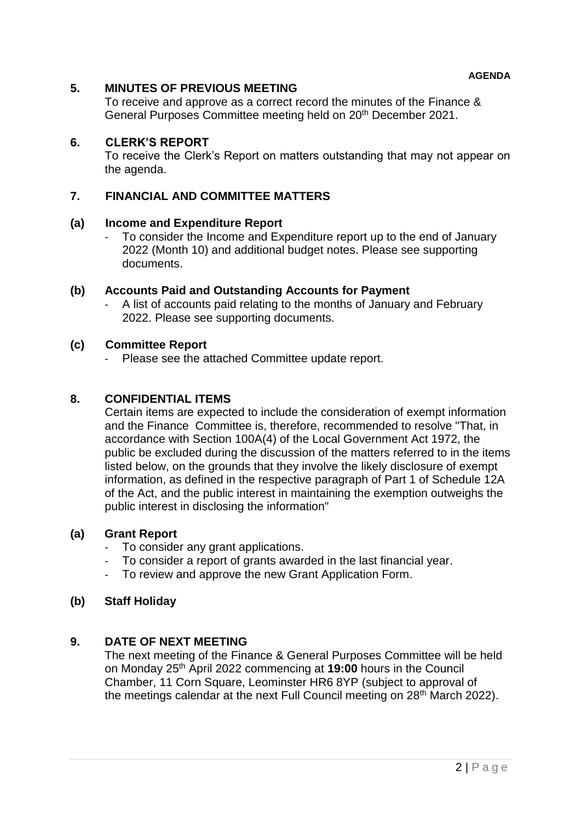#### **5. MINUTES OF PREVIOUS MEETING**

To receive and approve as a correct record the minutes of the Finance & General Purposes Committee meeting held on 20<sup>th</sup> December 2021.

#### **6. CLERK'S REPORT**

To receive the Clerk's Report on matters outstanding that may not appear on the agenda.

#### **7. FINANCIAL AND COMMITTEE MATTERS**

#### **(a) Income and Expenditure Report**

To consider the Income and Expenditure report up to the end of January 2022 (Month 10) and additional budget notes. Please see supporting documents.

#### **(b) Accounts Paid and Outstanding Accounts for Payment**

A list of accounts paid relating to the months of January and February 2022. Please see supporting documents.

#### **(c) Committee Report**

Please see the attached Committee update report.

#### **8. CONFIDENTIAL ITEMS**

Certain items are expected to include the consideration of exempt information and the Finance Committee is, therefore, recommended to resolve "That, in accordance with Section 100A(4) of the Local Government Act 1972, the public be excluded during the discussion of the matters referred to in the items listed below, on the grounds that they involve the likely disclosure of exempt information, as defined in the respective paragraph of Part 1 of Schedule 12A of the Act, and the public interest in maintaining the exemption outweighs the public interest in disclosing the information"

#### **(a) Grant Report**

- To consider any grant applications.
- To consider a report of grants awarded in the last financial year.
- To review and approve the new Grant Application Form.

#### **(b) Staff Holiday**

#### **9. DATE OF NEXT MEETING**

The next meeting of the Finance & General Purposes Committee will be held on Monday 25th April 2022 commencing at **19:00** hours in the Council Chamber, 11 Corn Square, Leominster HR6 8YP (subject to approval of the meetings calendar at the next Full Council meeting on 28<sup>th</sup> March 2022).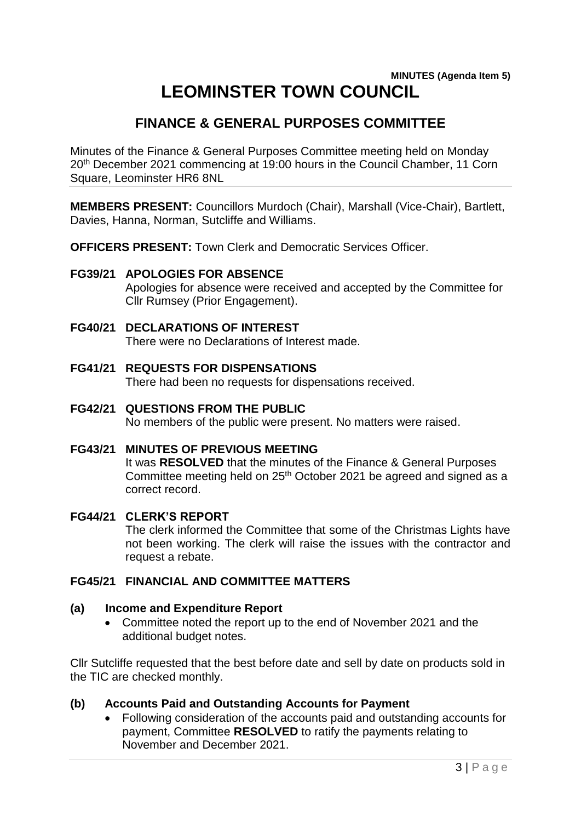## **MINUTES (Agenda Item 5) LEOMINSTER TOWN COUNCIL**

## **FINANCE & GENERAL PURPOSES COMMITTEE**

Minutes of the Finance & General Purposes Committee meeting held on Monday 20<sup>th</sup> December 2021 commencing at 19:00 hours in the Council Chamber, 11 Corn Square, Leominster HR6 8NL

**MEMBERS PRESENT:** Councillors Murdoch (Chair), Marshall (Vice-Chair), Bartlett, Davies, Hanna, Norman, Sutcliffe and Williams.

**OFFICERS PRESENT:** Town Clerk and Democratic Services Officer.

#### **FG39/21 APOLOGIES FOR ABSENCE**

Apologies for absence were received and accepted by the Committee for Cllr Rumsey (Prior Engagement).

### **FG40/21 DECLARATIONS OF INTEREST**

There were no Declarations of Interest made.

- **FG41/21 REQUESTS FOR DISPENSATIONS** There had been no requests for dispensations received.
- **FG42/21 QUESTIONS FROM THE PUBLIC** No members of the public were present. No matters were raised.
- **FG43/21 MINUTES OF PREVIOUS MEETING** It was **RESOLVED** that the minutes of the Finance & General Purposes Committee meeting held on 25<sup>th</sup> October 2021 be agreed and signed as a correct record.

#### **FG44/21 CLERK'S REPORT**

The clerk informed the Committee that some of the Christmas Lights have not been working. The clerk will raise the issues with the contractor and request a rebate.

#### **FG45/21 FINANCIAL AND COMMITTEE MATTERS**

#### **(a) Income and Expenditure Report**

 Committee noted the report up to the end of November 2021 and the additional budget notes.

Cllr Sutcliffe requested that the best before date and sell by date on products sold in the TIC are checked monthly.

#### **(b) Accounts Paid and Outstanding Accounts for Payment**

 Following consideration of the accounts paid and outstanding accounts for payment, Committee **RESOLVED** to ratify the payments relating to November and December 2021.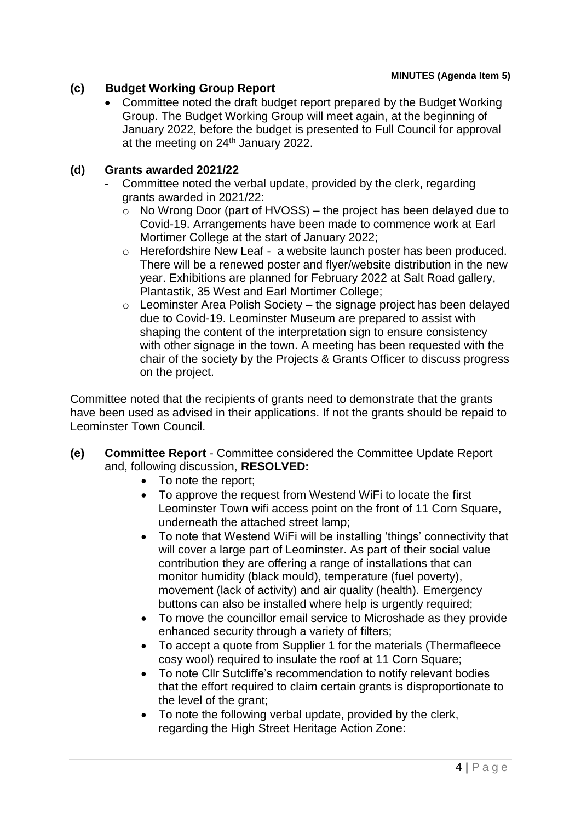## **(c) Budget Working Group Report**

• Committee noted the draft budget report prepared by the Budget Working Group. The Budget Working Group will meet again, at the beginning of January 2022, before the budget is presented to Full Council for approval at the meeting on 24<sup>th</sup> January 2022.

## **(d) Grants awarded 2021/22**

- Committee noted the verbal update, provided by the clerk, regarding grants awarded in 2021/22:
	- $\circ$  No Wrong Door (part of HVOSS) the project has been delayed due to Covid-19. Arrangements have been made to commence work at Earl Mortimer College at the start of January 2022;
	- o Herefordshire New Leaf a website launch poster has been produced. There will be a renewed poster and flyer/website distribution in the new year. Exhibitions are planned for February 2022 at Salt Road gallery, Plantastik, 35 West and Earl Mortimer College;
	- $\circ$  Leominster Area Polish Society the signage project has been delayed due to Covid-19. Leominster Museum are prepared to assist with shaping the content of the interpretation sign to ensure consistency with other signage in the town. A meeting has been requested with the chair of the society by the Projects & Grants Officer to discuss progress on the project.

Committee noted that the recipients of grants need to demonstrate that the grants have been used as advised in their applications. If not the grants should be repaid to Leominster Town Council.

- **(e) Committee Report** Committee considered the Committee Update Report and, following discussion, **RESOLVED:**
	- To note the report:
	- To approve the request from Westend WiFi to locate the first Leominster Town wifi access point on the front of 11 Corn Square, underneath the attached street lamp;
	- To note that Westend WiFi will be installing 'things' connectivity that will cover a large part of Leominster. As part of their social value contribution they are offering a range of installations that can monitor humidity (black mould), temperature (fuel poverty), movement (lack of activity) and air quality (health). Emergency buttons can also be installed where help is urgently required:
	- To move the councillor email service to Microshade as they provide enhanced security through a variety of filters;
	- To accept a quote from Supplier 1 for the materials (Thermafleece cosy wool) required to insulate the roof at 11 Corn Square;
	- To note Cllr Sutcliffe's recommendation to notify relevant bodies that the effort required to claim certain grants is disproportionate to the level of the grant;
	- To note the following verbal update, provided by the clerk, regarding the High Street Heritage Action Zone: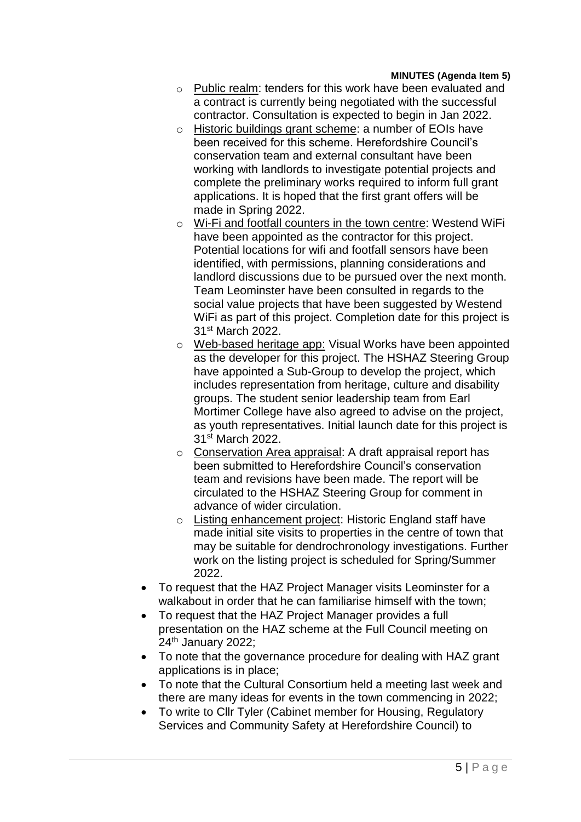#### **MINUTES (Agenda Item 5)**

- o Public realm: tenders for this work have been evaluated and a contract is currently being negotiated with the successful contractor. Consultation is expected to begin in Jan 2022.
- o Historic buildings grant scheme: a number of EOIs have been received for this scheme. Herefordshire Council's conservation team and external consultant have been working with landlords to investigate potential projects and complete the preliminary works required to inform full grant applications. It is hoped that the first grant offers will be made in Spring 2022.
- o Wi-Fi and footfall counters in the town centre: Westend WiFi have been appointed as the contractor for this project. Potential locations for wifi and footfall sensors have been identified, with permissions, planning considerations and landlord discussions due to be pursued over the next month. Team Leominster have been consulted in regards to the social value projects that have been suggested by Westend WiFi as part of this project. Completion date for this project is 31st March 2022.
- o Web-based heritage app: Visual Works have been appointed as the developer for this project. The HSHAZ Steering Group have appointed a Sub-Group to develop the project, which includes representation from heritage, culture and disability groups. The student senior leadership team from Earl Mortimer College have also agreed to advise on the project, as youth representatives. Initial launch date for this project is 31st March 2022.
- o Conservation Area appraisal: A draft appraisal report has been submitted to Herefordshire Council's conservation team and revisions have been made. The report will be circulated to the HSHAZ Steering Group for comment in advance of wider circulation.
- o Listing enhancement project: Historic England staff have made initial site visits to properties in the centre of town that may be suitable for dendrochronology investigations. Further work on the listing project is scheduled for Spring/Summer 2022.
- To request that the HAZ Project Manager visits Leominster for a walkabout in order that he can familiarise himself with the town;
- To request that the HAZ Project Manager provides a full presentation on the HAZ scheme at the Full Council meeting on 24th January 2022;
- To note that the governance procedure for dealing with HAZ grant applications is in place;
- To note that the Cultural Consortium held a meeting last week and there are many ideas for events in the town commencing in 2022;
- To write to Cllr Tyler (Cabinet member for Housing, Regulatory Services and Community Safety at Herefordshire Council) to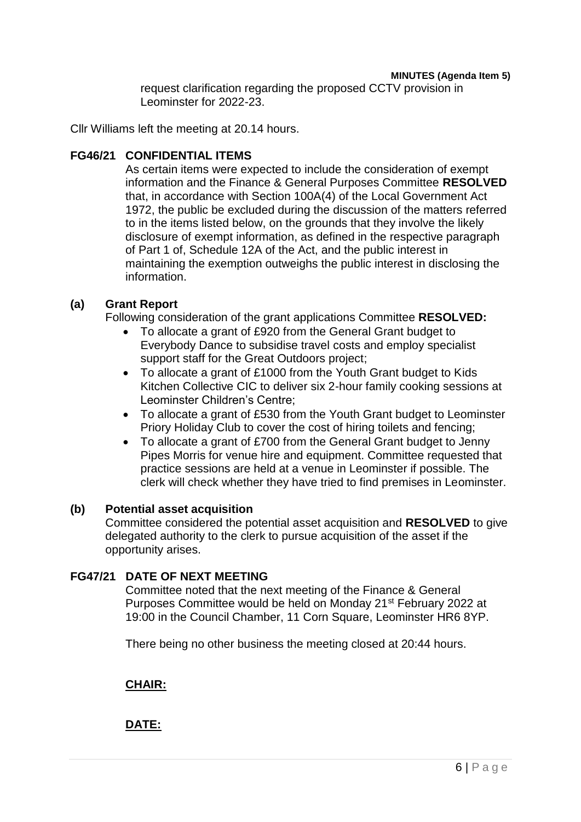#### **MINUTES (Agenda Item 5)**

request clarification regarding the proposed CCTV provision in Leominster for 2022-23.

Cllr Williams left the meeting at 20.14 hours.

#### **FG46/21 CONFIDENTIAL ITEMS**

As certain items were expected to include the consideration of exempt information and the Finance & General Purposes Committee **RESOLVED**  that, in accordance with Section 100A(4) of the Local Government Act 1972, the public be excluded during the discussion of the matters referred to in the items listed below, on the grounds that they involve the likely disclosure of exempt information, as defined in the respective paragraph of Part 1 of, Schedule 12A of the Act, and the public interest in maintaining the exemption outweighs the public interest in disclosing the information.

## **(a) Grant Report**

Following consideration of the grant applications Committee **RESOLVED:**

- To allocate a grant of £920 from the General Grant budget to Everybody Dance to subsidise travel costs and employ specialist support staff for the Great Outdoors project;
- To allocate a grant of £1000 from the Youth Grant budget to Kids Kitchen Collective CIC to deliver six 2-hour family cooking sessions at Leominster Children's Centre;
- To allocate a grant of £530 from the Youth Grant budget to Leominster Priory Holiday Club to cover the cost of hiring toilets and fencing;
- To allocate a grant of £700 from the General Grant budget to Jenny Pipes Morris for venue hire and equipment. Committee requested that practice sessions are held at a venue in Leominster if possible. The clerk will check whether they have tried to find premises in Leominster.

#### **(b) Potential asset acquisition**

Committee considered the potential asset acquisition and **RESOLVED** to give delegated authority to the clerk to pursue acquisition of the asset if the opportunity arises.

## **FG47/21 DATE OF NEXT MEETING**

Committee noted that the next meeting of the Finance & General Purposes Committee would be held on Monday 21<sup>st</sup> February 2022 at 19:00 in the Council Chamber, 11 Corn Square, Leominster HR6 8YP.

There being no other business the meeting closed at 20:44 hours.

## **CHAIR:**

**DATE:**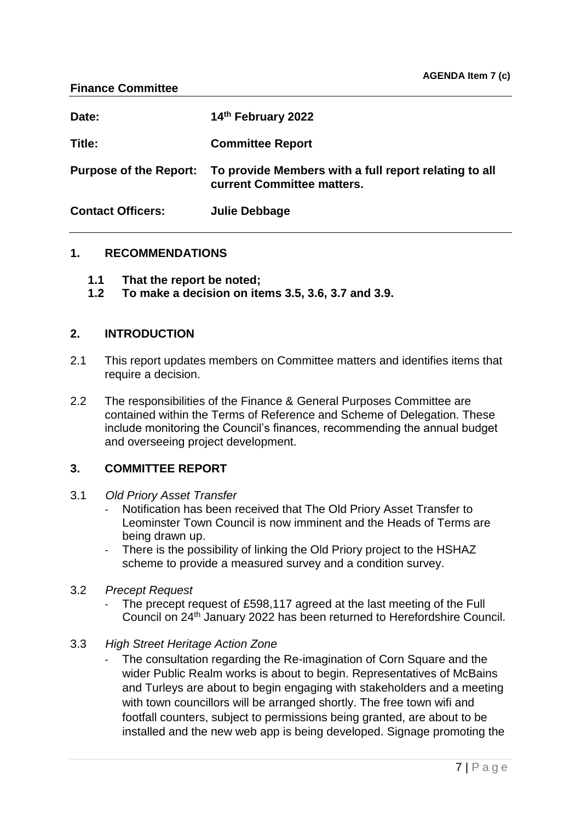| Date:                         | 14th February 2022                                                                  |
|-------------------------------|-------------------------------------------------------------------------------------|
| Title:                        | <b>Committee Report</b>                                                             |
| <b>Purpose of the Report:</b> | To provide Members with a full report relating to all<br>current Committee matters. |
| <b>Contact Officers:</b>      | Julie Debbage                                                                       |

#### **1. RECOMMENDATIONS**

- **1.1 That the report be noted;**
- **1.2 To make a decision on items 3.5, 3.6, 3.7 and 3.9.**

#### **2. INTRODUCTION**

- 2.1 This report updates members on Committee matters and identifies items that require a decision.
- 2.2 The responsibilities of the Finance & General Purposes Committee are contained within the Terms of Reference and Scheme of Delegation. These include monitoring the Council's finances, recommending the annual budget and overseeing project development.

#### **3. COMMITTEE REPORT**

- 3.1 *Old Priory Asset Transfer*
	- Notification has been received that The Old Priory Asset Transfer to Leominster Town Council is now imminent and the Heads of Terms are being drawn up.
	- There is the possibility of linking the Old Priory project to the HSHAZ scheme to provide a measured survey and a condition survey.
- 3.2 *Precept Request*
	- The precept request of £598,117 agreed at the last meeting of the Full Council on 24th January 2022 has been returned to Herefordshire Council.
- 3.3 *High Street Heritage Action Zone*
	- The consultation regarding the Re-imagination of Corn Square and the wider Public Realm works is about to begin. Representatives of McBains and Turleys are about to begin engaging with stakeholders and a meeting with town councillors will be arranged shortly. The free town wifi and footfall counters, subject to permissions being granted, are about to be installed and the new web app is being developed. Signage promoting the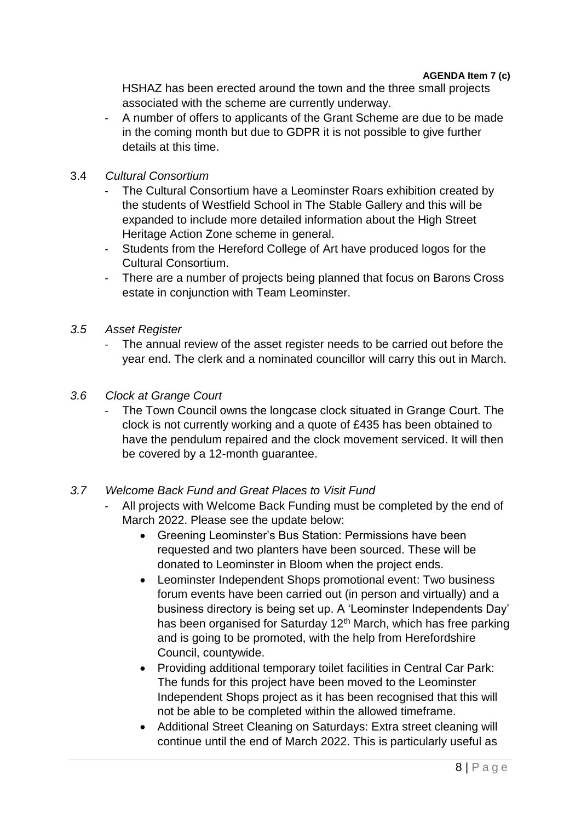HSHAZ has been erected around the town and the three small projects associated with the scheme are currently underway.

- A number of offers to applicants of the Grant Scheme are due to be made in the coming month but due to GDPR it is not possible to give further details at this time.

## 3.4 *Cultural Consortium*

- The Cultural Consortium have a Leominster Roars exhibition created by the students of Westfield School in The Stable Gallery and this will be expanded to include more detailed information about the High Street Heritage Action Zone scheme in general.
- Students from the Hereford College of Art have produced logos for the Cultural Consortium.
- There are a number of projects being planned that focus on Barons Cross estate in conjunction with Team Leominster.
- *3.5 Asset Register*
	- The annual review of the asset register needs to be carried out before the year end. The clerk and a nominated councillor will carry this out in March.
- *3.6 Clock at Grange Court*
	- The Town Council owns the longcase clock situated in Grange Court. The clock is not currently working and a quote of £435 has been obtained to have the pendulum repaired and the clock movement serviced. It will then be covered by a 12-month guarantee.

## *3.7 Welcome Back Fund and Great Places to Visit Fund*

- All projects with Welcome Back Funding must be completed by the end of March 2022. Please see the update below:
	- Greening Leominster's Bus Station: Permissions have been requested and two planters have been sourced. These will be donated to Leominster in Bloom when the project ends.
	- Leominster Independent Shops promotional event: Two business forum events have been carried out (in person and virtually) and a business directory is being set up. A 'Leominster Independents Day' has been organised for Saturday 12<sup>th</sup> March, which has free parking and is going to be promoted, with the help from Herefordshire Council, countywide.
	- Providing additional temporary toilet facilities in Central Car Park: The funds for this project have been moved to the Leominster Independent Shops project as it has been recognised that this will not be able to be completed within the allowed timeframe.
	- Additional Street Cleaning on Saturdays: Extra street cleaning will continue until the end of March 2022. This is particularly useful as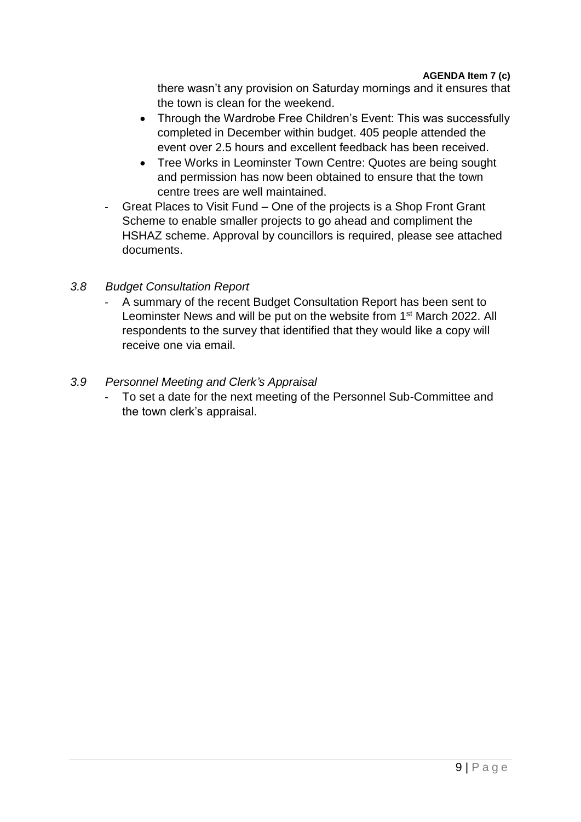there wasn't any provision on Saturday mornings and it ensures that the town is clean for the weekend.

- Through the Wardrobe Free Children's Event: This was successfully completed in December within budget. 405 people attended the event over 2.5 hours and excellent feedback has been received.
- Tree Works in Leominster Town Centre: Quotes are being sought and permission has now been obtained to ensure that the town centre trees are well maintained.
- Great Places to Visit Fund One of the projects is a Shop Front Grant Scheme to enable smaller projects to go ahead and compliment the HSHAZ scheme. Approval by councillors is required, please see attached documents.

## *3.8 Budget Consultation Report*

A summary of the recent Budget Consultation Report has been sent to Leominster News and will be put on the website from 1<sup>st</sup> March 2022. All respondents to the survey that identified that they would like a copy will receive one via email.

### *3.9 Personnel Meeting and Clerk's Appraisal*

- To set a date for the next meeting of the Personnel Sub-Committee and the town clerk's appraisal.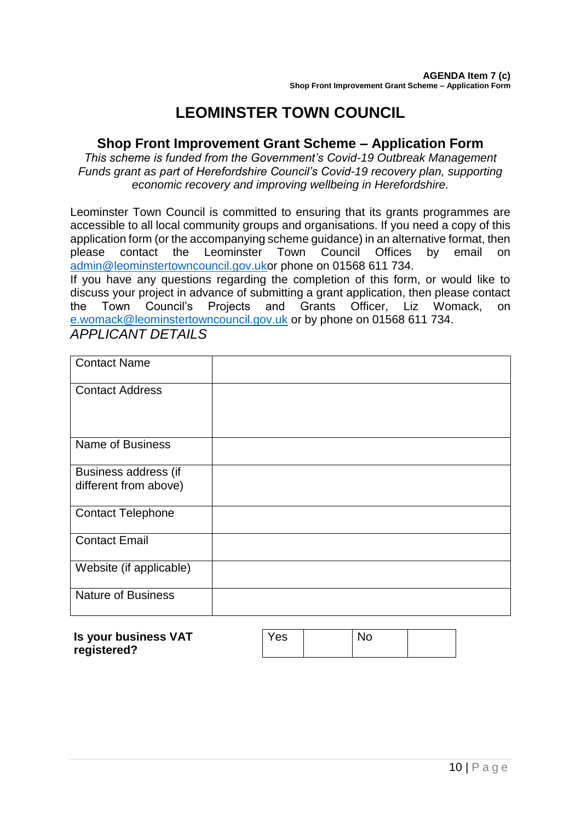## **LEOMINSTER TOWN COUNCIL**

## **Shop Front Improvement Grant Scheme – Application Form**

*This scheme is funded from the Government's Covid-19 Outbreak Management Funds grant as part of Herefordshire Council's Covid-19 recovery plan, supporting economic recovery and improving wellbeing in Herefordshire.*

Leominster Town Council is committed to ensuring that its grants programmes are accessible to all local community groups and organisations. If you need a copy of this application form (or the accompanying scheme guidance) in an alternative format, then please contact the Leominster Town Council Offices by email on [admin@leominstertowncouncil.gov.uko](mailto:admin@leominstertowncouncil.gov.uk)r phone on 01568 611 734.

If you have any questions regarding the completion of this form, or would like to discuss your project in advance of submitting a grant application, then please contact the Town Council's Projects and Grants Officer, Liz Womack, on [e.womack@leominstertowncouncil.gov.uk](mailto:e.womack@leominstertowncouncil.gov.uk) or by phone on 01568 611 734.

*APPLICANT DETAILS*

| <b>Contact Name</b>                           |  |
|-----------------------------------------------|--|
| <b>Contact Address</b>                        |  |
| <b>Name of Business</b>                       |  |
| Business address (if<br>different from above) |  |
| <b>Contact Telephone</b>                      |  |
| <b>Contact Email</b>                          |  |
| Website (if applicable)                       |  |
| <b>Nature of Business</b>                     |  |

| registered? |
|-------------|
|-------------|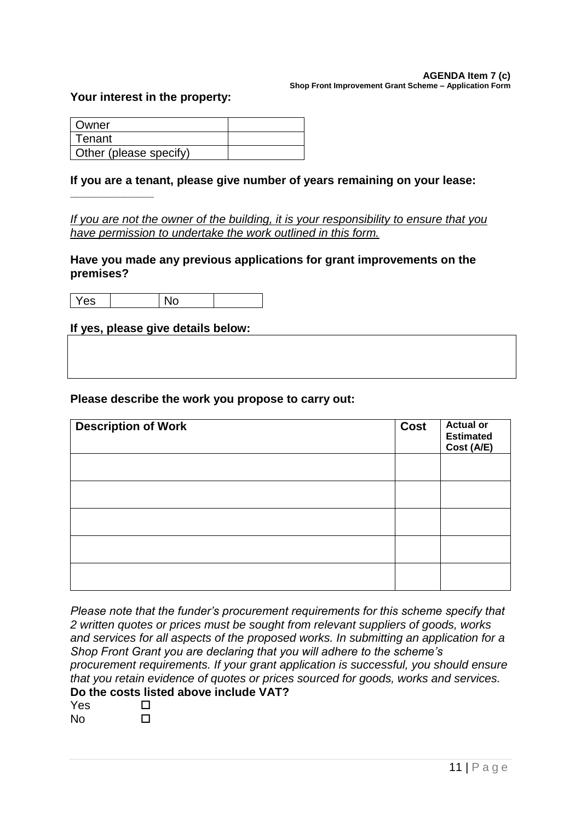#### **AGENDA Item 7 (c) Shop Front Improvement Grant Scheme – Application Form**

#### **Your interest in the property:**

**\_\_\_\_\_\_\_\_\_\_\_\_\_\_**

| <b>Owner</b>           |  |
|------------------------|--|
| ⊩Tenant                |  |
| Other (please specify) |  |

#### **If you are a tenant, please give number of years remaining on your lease:**

*If you are not the owner of the building, it is your responsibility to ensure that you have permission to undertake the work outlined in this form.*

**Have you made any previous applications for grant improvements on the premises?**

Yes No

**If yes, please give details below:**

#### **Please describe the work you propose to carry out:**

| <b>Description of Work</b> | Cost | <b>Actual or</b><br><b>Estimated</b><br>Cost (A/E) |
|----------------------------|------|----------------------------------------------------|
|                            |      |                                                    |
|                            |      |                                                    |
|                            |      |                                                    |
|                            |      |                                                    |
|                            |      |                                                    |

*Please note that the funder's procurement requirements for this scheme specify that 2 written quotes or prices must be sought from relevant suppliers of goods, works and services for all aspects of the proposed works. In submitting an application for a Shop Front Grant you are declaring that you will adhere to the scheme's procurement requirements. If your grant application is successful, you should ensure that you retain evidence of quotes or prices sourced for goods, works and services.* **Do the costs listed above include VAT?**

| Yes       | LΙ |
|-----------|----|
| <b>No</b> | LΙ |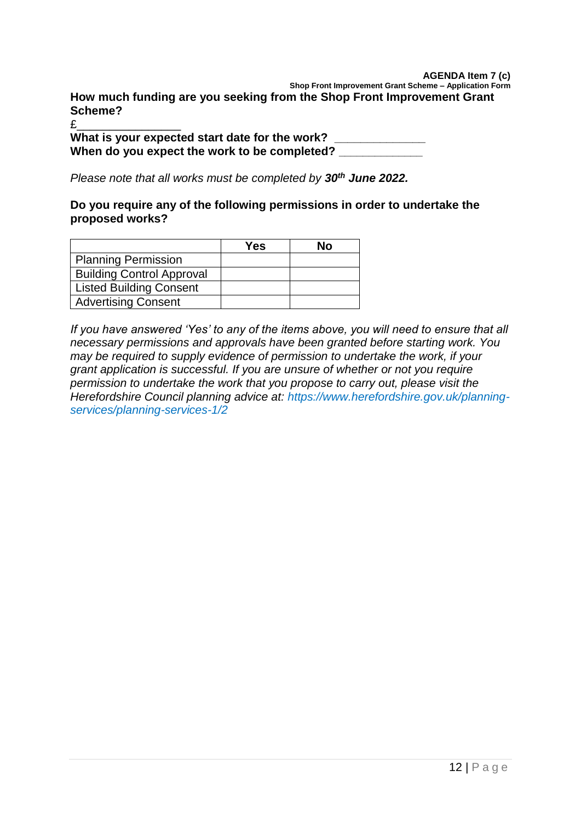#### **AGENDA Item 7 (c)**

**Shop Front Improvement Grant Scheme – Application Form How much funding are you seeking from the Shop Front Improvement Grant Scheme?**

£\_\_\_\_\_\_\_\_\_\_\_\_\_\_\_\_

**What is your expected start date for the work? \_\_\_\_\_\_\_\_\_\_\_\_\_\_ When do you expect the work to be completed? \_\_\_\_\_\_\_\_\_\_\_\_\_\_**

*Please note that all works must be completed by 30th June 2022.*

#### **Do you require any of the following permissions in order to undertake the proposed works?**

|                                  | Yes | Nο |
|----------------------------------|-----|----|
| <b>Planning Permission</b>       |     |    |
| <b>Building Control Approval</b> |     |    |
| <b>Listed Building Consent</b>   |     |    |
| <b>Advertising Consent</b>       |     |    |

*If you have answered 'Yes' to any of the items above, you will need to ensure that all necessary permissions and approvals have been granted before starting work. You may be required to supply evidence of permission to undertake the work, if your grant application is successful. If you are unsure of whether or not you require permission to undertake the work that you propose to carry out, please visit the Herefordshire Council planning advice at: https://www.herefordshire.gov.uk/planningservices/planning-services-1/2*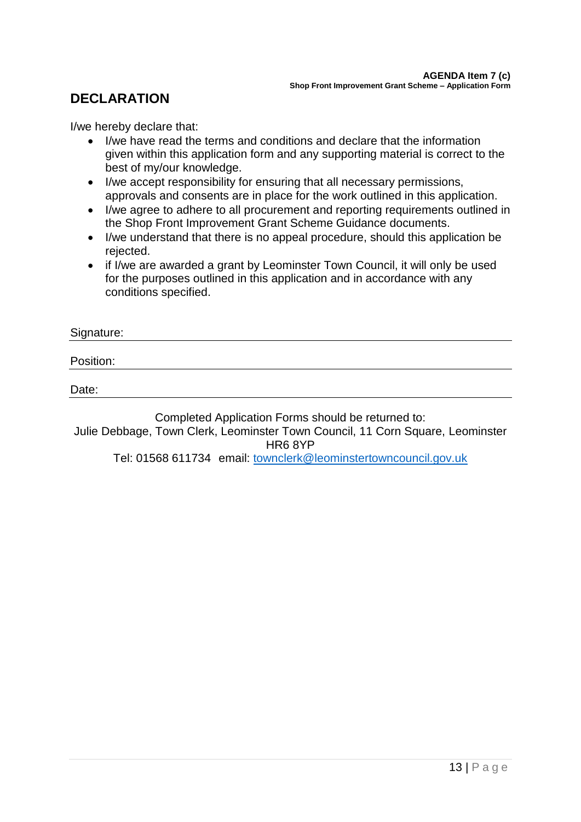## **DECLARATION**

I/we hereby declare that:

- I/we have read the terms and conditions and declare that the information given within this application form and any supporting material is correct to the best of my/our knowledge.
- I/we accept responsibility for ensuring that all necessary permissions, approvals and consents are in place for the work outlined in this application.
- I/we agree to adhere to all procurement and reporting requirements outlined in the Shop Front Improvement Grant Scheme Guidance documents.
- I/we understand that there is no appeal procedure, should this application be rejected.
- if I/we are awarded a grant by Leominster Town Council, it will only be used for the purposes outlined in this application and in accordance with any conditions specified.

#### Signature:

Position:

Date:

Completed Application Forms should be returned to:

Julie Debbage, Town Clerk, Leominster Town Council, 11 Corn Square, Leominster HR6 8YP

Tel: 01568 611734 email: [townclerk@leominstertowncouncil.gov.uk](mailto:townclerk@leominstertowncouncil.gov.uk)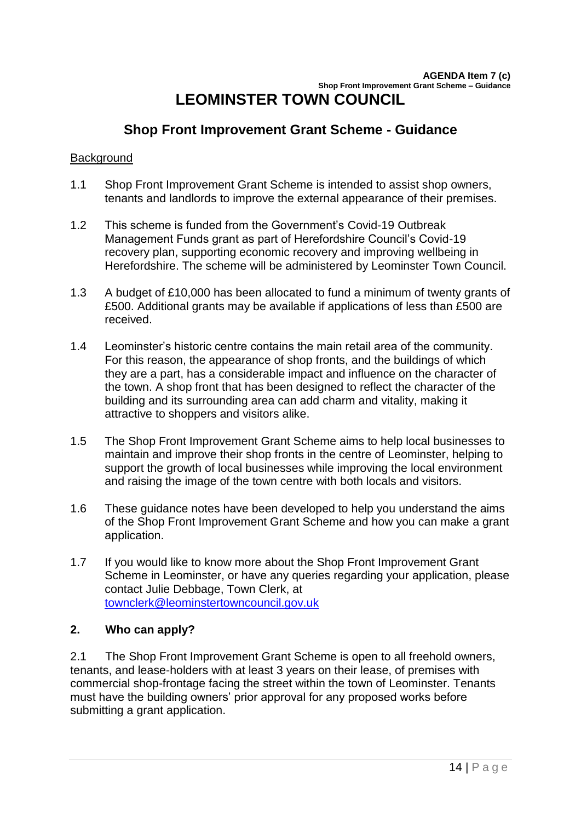## **Shop Front Improvement Grant Scheme - Guidance**

#### **Background**

- 1.1 Shop Front Improvement Grant Scheme is intended to assist shop owners, tenants and landlords to improve the external appearance of their premises.
- 1.2 This scheme is funded from the Government's Covid-19 Outbreak Management Funds grant as part of Herefordshire Council's Covid-19 recovery plan, supporting economic recovery and improving wellbeing in Herefordshire. The scheme will be administered by Leominster Town Council.
- 1.3 A budget of £10,000 has been allocated to fund a minimum of twenty grants of £500. Additional grants may be available if applications of less than £500 are received.
- 1.4 Leominster's historic centre contains the main retail area of the community. For this reason, the appearance of shop fronts, and the buildings of which they are a part, has a considerable impact and influence on the character of the town. A shop front that has been designed to reflect the character of the building and its surrounding area can add charm and vitality, making it attractive to shoppers and visitors alike.
- 1.5 The Shop Front Improvement Grant Scheme aims to help local businesses to maintain and improve their shop fronts in the centre of Leominster, helping to support the growth of local businesses while improving the local environment and raising the image of the town centre with both locals and visitors.
- 1.6 These guidance notes have been developed to help you understand the aims of the Shop Front Improvement Grant Scheme and how you can make a grant application.
- 1.7 If you would like to know more about the Shop Front Improvement Grant Scheme in Leominster, or have any queries regarding your application, please contact Julie Debbage, Town Clerk, at [townclerk@leominstertowncouncil.gov.uk](mailto:townclerk@leominstertowncouncil.gov.uk)

### **2. Who can apply?**

2.1 The Shop Front Improvement Grant Scheme is open to all freehold owners, tenants, and lease-holders with at least 3 years on their lease, of premises with commercial shop-frontage facing the street within the town of Leominster. Tenants must have the building owners' prior approval for any proposed works before submitting a grant application.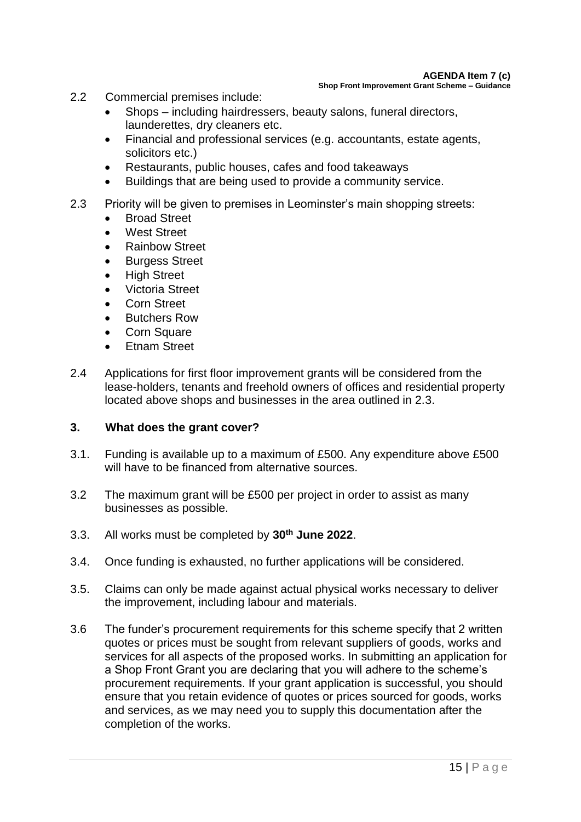- 2.2 Commercial premises include:
	- Shops including hairdressers, beauty salons, funeral directors, launderettes, dry cleaners etc.
	- Financial and professional services (e.g. accountants, estate agents, solicitors etc.)
	- Restaurants, public houses, cafes and food takeaways
	- Buildings that are being used to provide a community service.
- 2.3 Priority will be given to premises in Leominster's main shopping streets:
	- Broad Street
	- West Street
	- Rainbow Street
	- Burgess Street
	- **High Street**
	- Victoria Street
	- Corn Street
	- Butchers Row
	- Corn Square
	- Etnam Street
- 2.4 Applications for first floor improvement grants will be considered from the lease-holders, tenants and freehold owners of offices and residential property located above shops and businesses in the area outlined in 2.3.

### **3. What does the grant cover?**

- 3.1. Funding is available up to a maximum of £500. Any expenditure above £500 will have to be financed from alternative sources.
- 3.2 The maximum grant will be £500 per project in order to assist as many businesses as possible.
- 3.3. All works must be completed by **30th June 2022**.
- 3.4. Once funding is exhausted, no further applications will be considered.
- 3.5. Claims can only be made against actual physical works necessary to deliver the improvement, including labour and materials.
- 3.6 The funder's procurement requirements for this scheme specify that 2 written quotes or prices must be sought from relevant suppliers of goods, works and services for all aspects of the proposed works. In submitting an application for a Shop Front Grant you are declaring that you will adhere to the scheme's procurement requirements. If your grant application is successful, you should ensure that you retain evidence of quotes or prices sourced for goods, works and services, as we may need you to supply this documentation after the completion of the works.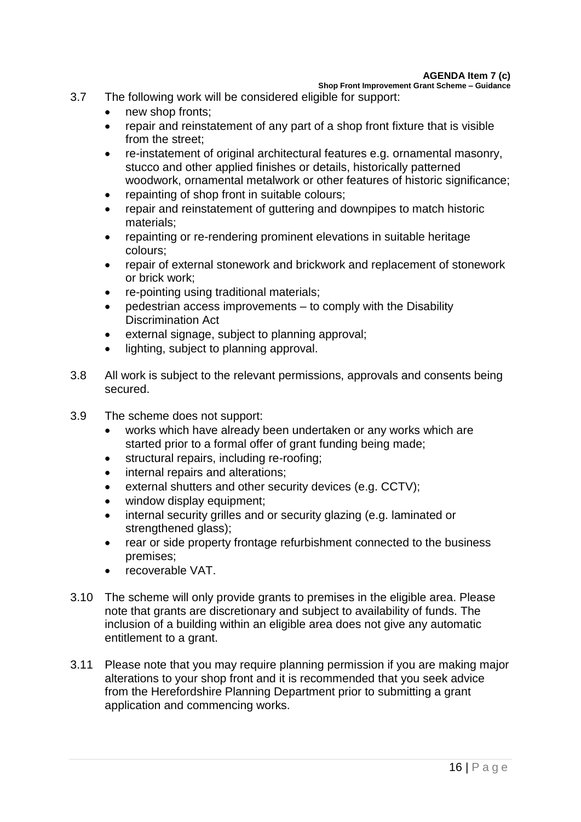**Shop Front Improvement Grant Scheme – Guidance**

- 3.7 The following work will be considered eligible for support:
	- new shop fronts;
	- repair and reinstatement of any part of a shop front fixture that is visible from the street;
	- re-instatement of original architectural features e.g. ornamental masonry, stucco and other applied finishes or details, historically patterned woodwork, ornamental metalwork or other features of historic significance:
	- repainting of shop front in suitable colours;
	- repair and reinstatement of guttering and downpipes to match historic materials;
	- repainting or re-rendering prominent elevations in suitable heritage colours;
	- repair of external stonework and brickwork and replacement of stonework or brick work;
	- re-pointing using traditional materials;
	- pedestrian access improvements to comply with the Disability Discrimination Act
	- external signage, subject to planning approval;
	- lighting, subject to planning approval.
- 3.8 All work is subject to the relevant permissions, approvals and consents being secured.
- 3.9 The scheme does not support:
	- works which have already been undertaken or any works which are started prior to a formal offer of grant funding being made;
	- structural repairs, including re-roofing;
	- internal repairs and alterations;
	- external shutters and other security devices (e.g. CCTV);
	- window display equipment;
	- internal security grilles and or security glazing (e.g. laminated or strengthened glass);
	- rear or side property frontage refurbishment connected to the business premises;
	- recoverable VAT.
- 3.10 The scheme will only provide grants to premises in the eligible area. Please note that grants are discretionary and subject to availability of funds. The inclusion of a building within an eligible area does not give any automatic entitlement to a grant.
- 3.11 Please note that you may require planning permission if you are making major alterations to your shop front and it is recommended that you seek advice from the Herefordshire Planning Department prior to submitting a grant application and commencing works.